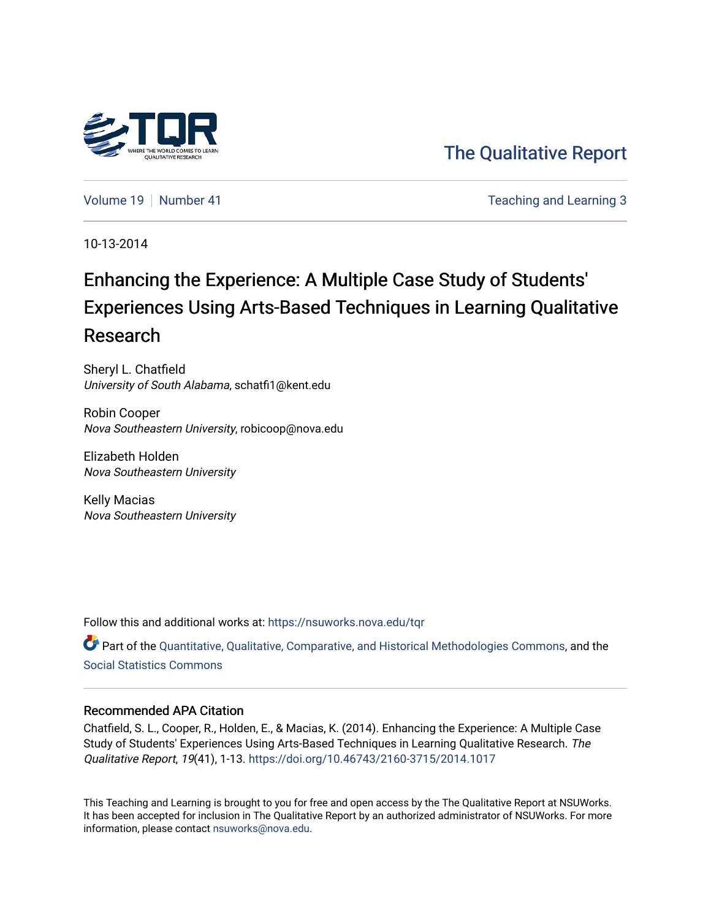

[The Qualitative Report](https://nsuworks.nova.edu/tqr) 

[Volume 19](https://nsuworks.nova.edu/tqr/vol19) [Number 41](https://nsuworks.nova.edu/tqr/vol19/iss41) **Teaching and Learning 3** 

10-13-2014

## Enhancing the Experience: A Multiple Case Study of Students' Experiences Using Arts-Based Techniques in Learning Qualitative Research

Sheryl L. Chatfield University of South Alabama, schatfi1@kent.edu

Robin Cooper Nova Southeastern University, robicoop@nova.edu

Elizabeth Holden Nova Southeastern University

Kelly Macias Nova Southeastern University

Follow this and additional works at: [https://nsuworks.nova.edu/tqr](https://nsuworks.nova.edu/tqr?utm_source=nsuworks.nova.edu%2Ftqr%2Fvol19%2Fiss41%2F3&utm_medium=PDF&utm_campaign=PDFCoverPages) 

Part of the [Quantitative, Qualitative, Comparative, and Historical Methodologies Commons,](http://network.bepress.com/hgg/discipline/423?utm_source=nsuworks.nova.edu%2Ftqr%2Fvol19%2Fiss41%2F3&utm_medium=PDF&utm_campaign=PDFCoverPages) and the [Social Statistics Commons](http://network.bepress.com/hgg/discipline/1275?utm_source=nsuworks.nova.edu%2Ftqr%2Fvol19%2Fiss41%2F3&utm_medium=PDF&utm_campaign=PDFCoverPages) 

#### Recommended APA Citation

Chatfield, S. L., Cooper, R., Holden, E., & Macias, K. (2014). Enhancing the Experience: A Multiple Case Study of Students' Experiences Using Arts-Based Techniques in Learning Qualitative Research. The Qualitative Report, 19(41), 1-13.<https://doi.org/10.46743/2160-3715/2014.1017>

This Teaching and Learning is brought to you for free and open access by the The Qualitative Report at NSUWorks. It has been accepted for inclusion in The Qualitative Report by an authorized administrator of NSUWorks. For more information, please contact [nsuworks@nova.edu.](mailto:nsuworks@nova.edu)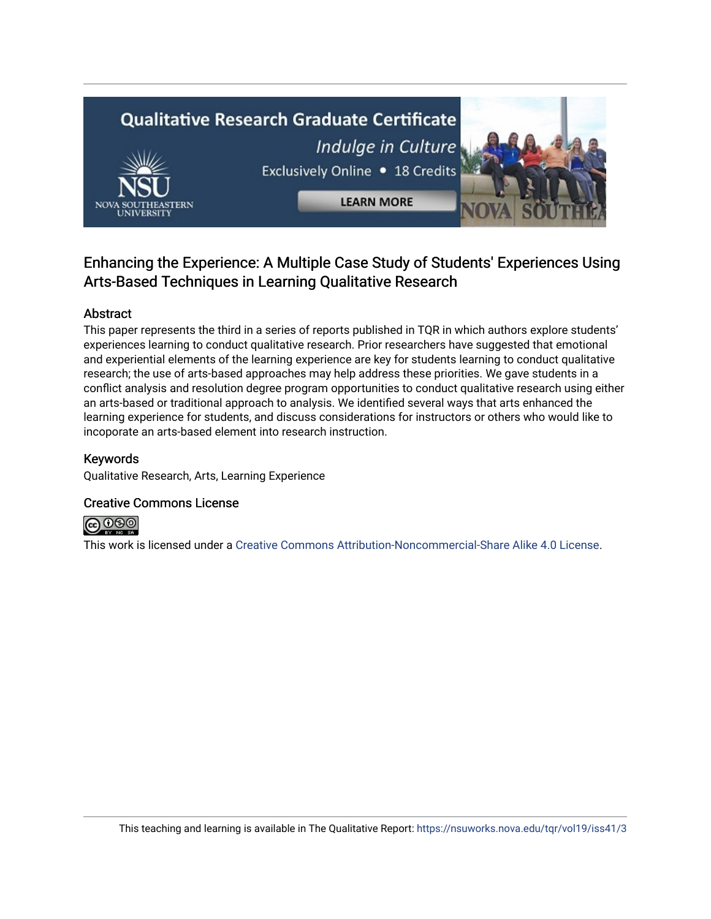# **Qualitative Research Graduate Certificate** Indulge in Culture Exclusively Online . 18 Credits **LEARN MORE**

### Enhancing the Experience: A Multiple Case Study of Students' Experiences Using Arts-Based Techniques in Learning Qualitative Research

#### Abstract

This paper represents the third in a series of reports published in TQR in which authors explore students' experiences learning to conduct qualitative research. Prior researchers have suggested that emotional and experiential elements of the learning experience are key for students learning to conduct qualitative research; the use of arts-based approaches may help address these priorities. We gave students in a conflict analysis and resolution degree program opportunities to conduct qualitative research using either an arts-based or traditional approach to analysis. We identified several ways that arts enhanced the learning experience for students, and discuss considerations for instructors or others who would like to incoporate an arts-based element into research instruction.

#### Keywords

Qualitative Research, Arts, Learning Experience

#### Creative Commons License



This work is licensed under a [Creative Commons Attribution-Noncommercial-Share Alike 4.0 License](https://creativecommons.org/licenses/by-nc-sa/4.0/).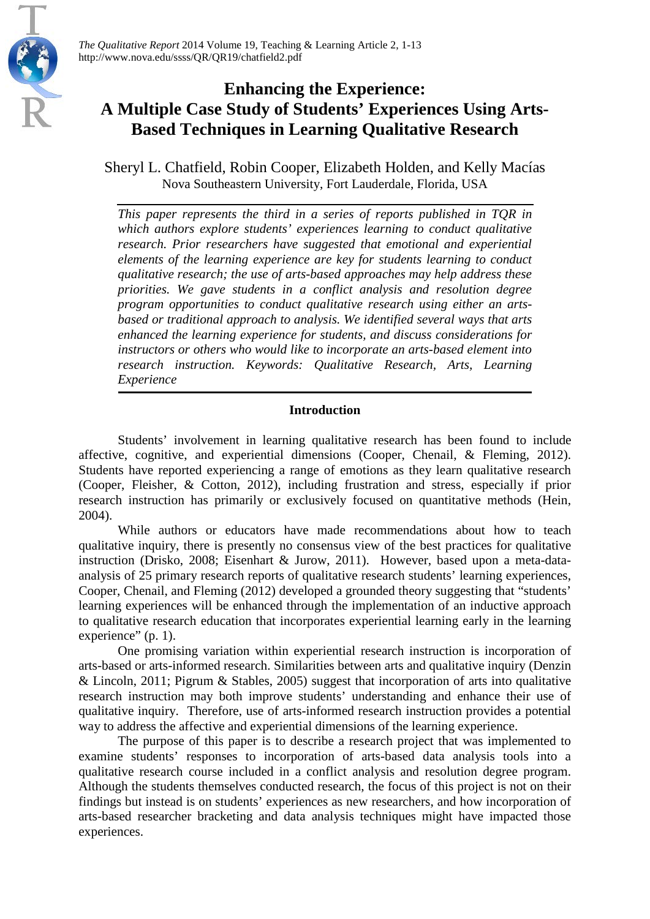

## **Enhancing the Experience: A Multiple Case Study of Students' Experiences Using Arts-Based Techniques in Learning Qualitative Research**

Sheryl L. Chatfield, Robin Cooper, Elizabeth Holden, and Kelly Macías Nova Southeastern University, Fort Lauderdale, Florida, USA

*This paper represents the third in a series of reports published in TQR in which authors explore students' experiences learning to conduct qualitative research. Prior researchers have suggested that emotional and experiential elements of the learning experience are key for students learning to conduct qualitative research; the use of arts-based approaches may help address these priorities. We gave students in a conflict analysis and resolution degree program opportunities to conduct qualitative research using either an artsbased or traditional approach to analysis. We identified several ways that arts enhanced the learning experience for students, and discuss considerations for instructors or others who would like to incorporate an arts-based element into research instruction. Keywords: Qualitative Research, Arts, Learning Experience*

#### **Introduction**

Students' involvement in learning qualitative research has been found to include affective, cognitive, and experiential dimensions (Cooper, Chenail, & Fleming, 2012). Students have reported experiencing a range of emotions as they learn qualitative research (Cooper, Fleisher, & Cotton, 2012), including frustration and stress, especially if prior research instruction has primarily or exclusively focused on quantitative methods (Hein, 2004).

While authors or educators have made recommendations about how to teach qualitative inquiry, there is presently no consensus view of the best practices for qualitative instruction (Drisko, 2008; Eisenhart & Jurow, 2011). However, based upon a meta-dataanalysis of 25 primary research reports of qualitative research students' learning experiences, Cooper, Chenail, and Fleming (2012) developed a grounded theory suggesting that "students' learning experiences will be enhanced through the implementation of an inductive approach to qualitative research education that incorporates experiential learning early in the learning experience" (p. 1).

One promising variation within experiential research instruction is incorporation of arts-based or arts-informed research. Similarities between arts and qualitative inquiry (Denzin & Lincoln, 2011; Pigrum & Stables, 2005) suggest that incorporation of arts into qualitative research instruction may both improve students' understanding and enhance their use of qualitative inquiry. Therefore, use of arts-informed research instruction provides a potential way to address the affective and experiential dimensions of the learning experience.

The purpose of this paper is to describe a research project that was implemented to examine students' responses to incorporation of arts-based data analysis tools into a qualitative research course included in a conflict analysis and resolution degree program. Although the students themselves conducted research, the focus of this project is not on their findings but instead is on students' experiences as new researchers, and how incorporation of arts-based researcher bracketing and data analysis techniques might have impacted those experiences.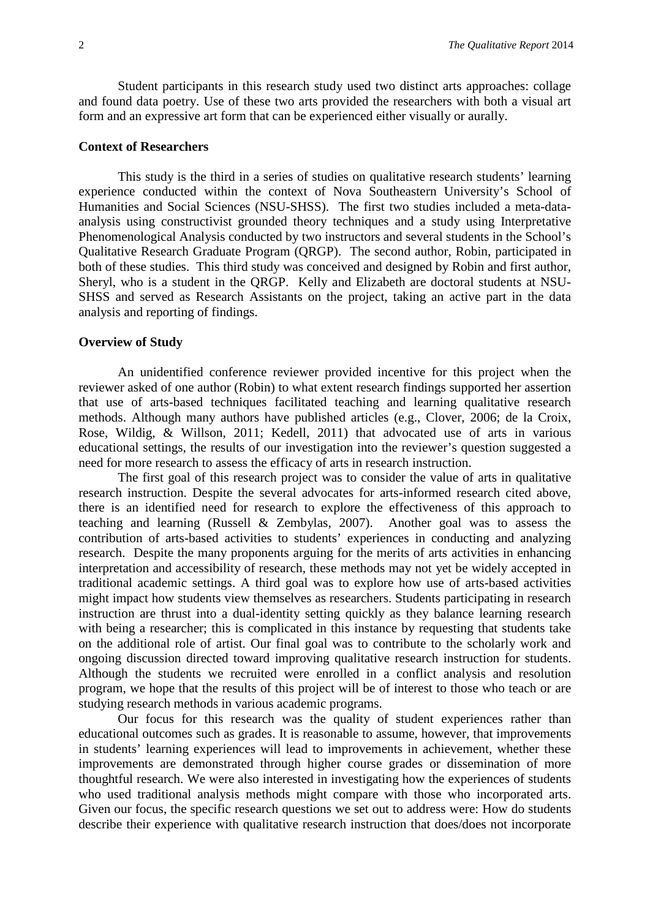Student participants in this research study used two distinct arts approaches: collage and found data poetry. Use of these two arts provided the researchers with both a visual art form and an expressive art form that can be experienced either visually or aurally.

#### **Context of Researchers**

This study is the third in a series of studies on qualitative research students' learning experience conducted within the context of Nova Southeastern University's School of Humanities and Social Sciences (NSU-SHSS). The first two studies included a meta-dataanalysis using constructivist grounded theory techniques and a study using Interpretative Phenomenological Analysis conducted by two instructors and several students in the School's Qualitative Research Graduate Program (QRGP). The second author, Robin, participated in both of these studies. This third study was conceived and designed by Robin and first author, Sheryl, who is a student in the QRGP. Kelly and Elizabeth are doctoral students at NSU-SHSS and served as Research Assistants on the project, taking an active part in the data analysis and reporting of findings.

#### **Overview of Study**

An unidentified conference reviewer provided incentive for this project when the reviewer asked of one author (Robin) to what extent research findings supported her assertion that use of arts-based techniques facilitated teaching and learning qualitative research methods. Although many authors have published articles (e.g., Clover, 2006; de la Croix, Rose, Wildig, & Willson, 2011; Kedell, 2011) that advocated use of arts in various educational settings, the results of our investigation into the reviewer's question suggested a need for more research to assess the efficacy of arts in research instruction.

The first goal of this research project was to consider the value of arts in qualitative research instruction. Despite the several advocates for arts-informed research cited above, there is an identified need for research to explore the effectiveness of this approach to teaching and learning (Russell & Zembylas, 2007). Another goal was to assess the contribution of arts-based activities to students' experiences in conducting and analyzing research. Despite the many proponents arguing for the merits of arts activities in enhancing interpretation and accessibility of research, these methods may not yet be widely accepted in traditional academic settings. A third goal was to explore how use of arts-based activities might impact how students view themselves as researchers. Students participating in research instruction are thrust into a dual-identity setting quickly as they balance learning research with being a researcher; this is complicated in this instance by requesting that students take on the additional role of artist. Our final goal was to contribute to the scholarly work and ongoing discussion directed toward improving qualitative research instruction for students. Although the students we recruited were enrolled in a conflict analysis and resolution program, we hope that the results of this project will be of interest to those who teach or are studying research methods in various academic programs.

Our focus for this research was the quality of student experiences rather than educational outcomes such as grades. It is reasonable to assume, however, that improvements in students' learning experiences will lead to improvements in achievement, whether these improvements are demonstrated through higher course grades or dissemination of more thoughtful research. We were also interested in investigating how the experiences of students who used traditional analysis methods might compare with those who incorporated arts. Given our focus, the specific research questions we set out to address were: How do students describe their experience with qualitative research instruction that does/does not incorporate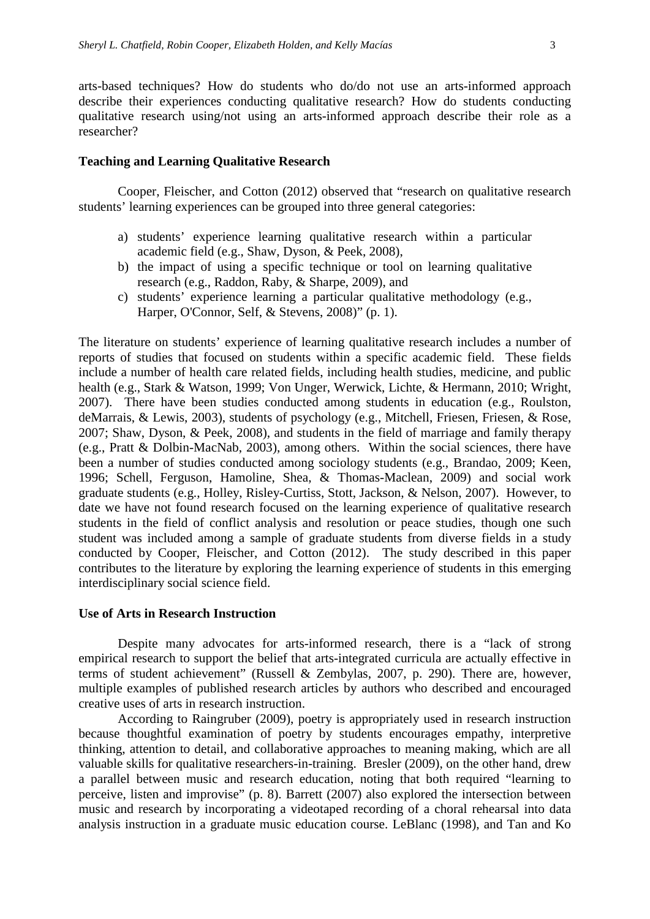arts-based techniques? How do students who do/do not use an arts-informed approach describe their experiences conducting qualitative research? How do students conducting qualitative research using/not using an arts-informed approach describe their role as a researcher?

#### **Teaching and Learning Qualitative Research**

Cooper, Fleischer, and Cotton (2012) observed that "research on qualitative research students' learning experiences can be grouped into three general categories:

- a) students' experience learning qualitative research within a particular academic field (e.g., Shaw, Dyson, & Peek, 2008),
- b) the impact of using a specific technique or tool on learning qualitative research (e.g., Raddon, Raby, & Sharpe, 2009), and
- c) students' experience learning a particular qualitative methodology (e.g., Harper, O'Connor, Self, & Stevens, 2008)" (p. 1).

The literature on students' experience of learning qualitative research includes a number of reports of studies that focused on students within a specific academic field. These fields include a number of health care related fields, including health studies, medicine, and public health (e.g., Stark & Watson, 1999; Von Unger, Werwick, Lichte, & Hermann, 2010; Wright, 2007). There have been studies conducted among students in education (e.g., Roulston, deMarrais, & Lewis, 2003), students of psychology (e.g., Mitchell, Friesen, Friesen, & Rose, 2007; Shaw, Dyson, & Peek, 2008), and students in the field of marriage and family therapy (e.g., Pratt & Dolbin-MacNab, 2003), among others. Within the social sciences, there have been a number of studies conducted among sociology students (e.g., Brandao, 2009; Keen, 1996; Schell, Ferguson, Hamoline, Shea, & Thomas-Maclean, 2009) and social work graduate students (e.g., Holley, Risley-Curtiss, Stott, Jackson, & Nelson, 2007). However, to date we have not found research focused on the learning experience of qualitative research students in the field of conflict analysis and resolution or peace studies, though one such student was included among a sample of graduate students from diverse fields in a study conducted by Cooper, Fleischer, and Cotton (2012). The study described in this paper contributes to the literature by exploring the learning experience of students in this emerging interdisciplinary social science field.

#### **Use of Arts in Research Instruction**

Despite many advocates for arts-informed research, there is a "lack of strong empirical research to support the belief that arts-integrated curricula are actually effective in terms of student achievement" (Russell & Zembylas, 2007, p. 290). There are, however, multiple examples of published research articles by authors who described and encouraged creative uses of arts in research instruction.

According to Raingruber (2009), poetry is appropriately used in research instruction because thoughtful examination of poetry by students encourages empathy, interpretive thinking, attention to detail, and collaborative approaches to meaning making, which are all valuable skills for qualitative researchers-in-training. Bresler (2009), on the other hand, drew a parallel between music and research education, noting that both required "learning to perceive, listen and improvise" (p. 8). Barrett (2007) also explored the intersection between music and research by incorporating a videotaped recording of a choral rehearsal into data analysis instruction in a graduate music education course. LeBlanc (1998), and Tan and Ko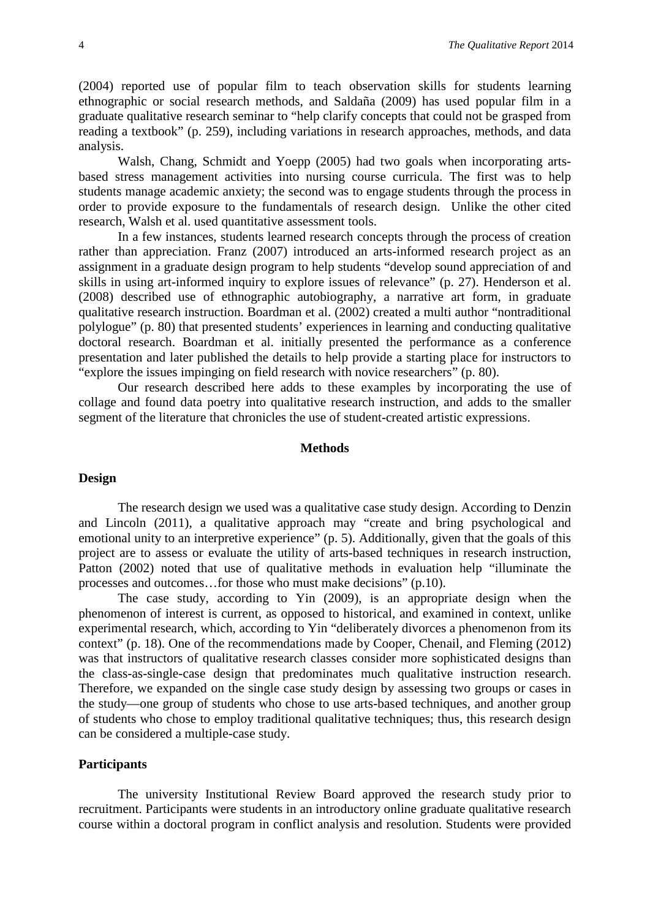(2004) reported use of popular film to teach observation skills for students learning ethnographic or social research methods, and Saldaña (2009) has used popular film in a graduate qualitative research seminar to "help clarify concepts that could not be grasped from reading a textbook" (p. 259), including variations in research approaches, methods, and data analysis.

Walsh, Chang, Schmidt and Yoepp (2005) had two goals when incorporating artsbased stress management activities into nursing course curricula. The first was to help students manage academic anxiety; the second was to engage students through the process in order to provide exposure to the fundamentals of research design. Unlike the other cited research, Walsh et al. used quantitative assessment tools.

In a few instances, students learned research concepts through the process of creation rather than appreciation. Franz (2007) introduced an arts-informed research project as an assignment in a graduate design program to help students "develop sound appreciation of and skills in using art-informed inquiry to explore issues of relevance" (p. 27). Henderson et al. (2008) described use of ethnographic autobiography, a narrative art form, in graduate qualitative research instruction. Boardman et al. (2002) created a multi author "nontraditional polylogue" (p. 80) that presented students' experiences in learning and conducting qualitative doctoral research. Boardman et al. initially presented the performance as a conference presentation and later published the details to help provide a starting place for instructors to "explore the issues impinging on field research with novice researchers" (p. 80).

Our research described here adds to these examples by incorporating the use of collage and found data poetry into qualitative research instruction, and adds to the smaller segment of the literature that chronicles the use of student-created artistic expressions.

#### **Methods**

#### **Design**

The research design we used was a qualitative case study design. According to Denzin and Lincoln (2011), a qualitative approach may "create and bring psychological and emotional unity to an interpretive experience" (p. 5). Additionally, given that the goals of this project are to assess or evaluate the utility of arts-based techniques in research instruction, Patton (2002) noted that use of qualitative methods in evaluation help "illuminate the processes and outcomes…for those who must make decisions" (p.10).

The case study, according to Yin (2009), is an appropriate design when the phenomenon of interest is current, as opposed to historical, and examined in context, unlike experimental research, which, according to Yin "deliberately divorces a phenomenon from its context" (p. 18). One of the recommendations made by Cooper, Chenail, and Fleming (2012) was that instructors of qualitative research classes consider more sophisticated designs than the class-as-single-case design that predominates much qualitative instruction research. Therefore, we expanded on the single case study design by assessing two groups or cases in the study—one group of students who chose to use arts-based techniques, and another group of students who chose to employ traditional qualitative techniques; thus, this research design can be considered a multiple-case study.

#### **Participants**

The university Institutional Review Board approved the research study prior to recruitment. Participants were students in an introductory online graduate qualitative research course within a doctoral program in conflict analysis and resolution. Students were provided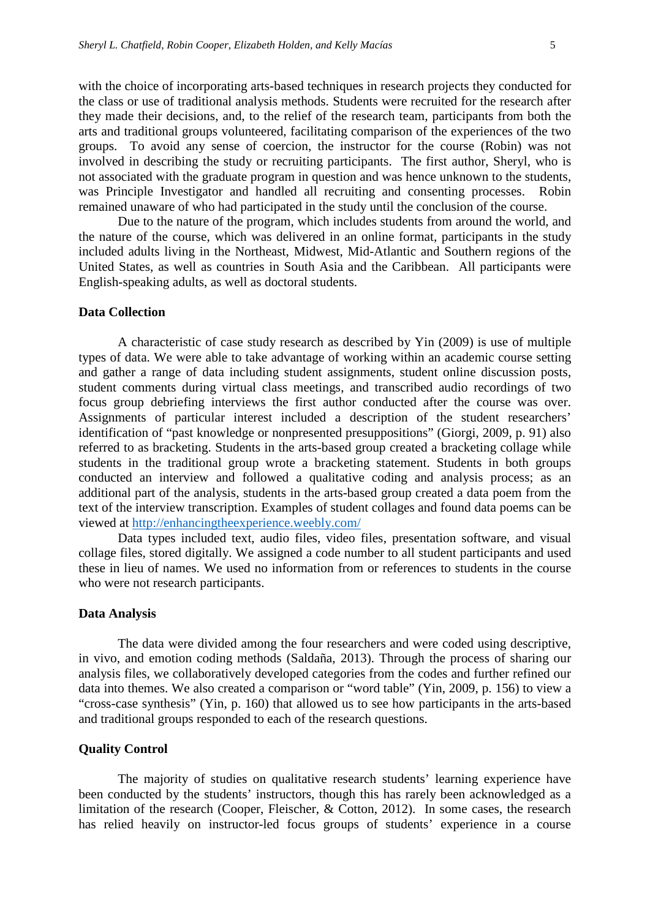with the choice of incorporating arts-based techniques in research projects they conducted for the class or use of traditional analysis methods. Students were recruited for the research after they made their decisions, and, to the relief of the research team, participants from both the arts and traditional groups volunteered, facilitating comparison of the experiences of the two groups. To avoid any sense of coercion, the instructor for the course (Robin) was not involved in describing the study or recruiting participants. The first author, Sheryl, who is not associated with the graduate program in question and was hence unknown to the students, was Principle Investigator and handled all recruiting and consenting processes. Robin remained unaware of who had participated in the study until the conclusion of the course.

Due to the nature of the program, which includes students from around the world, and the nature of the course, which was delivered in an online format, participants in the study included adults living in the Northeast, Midwest, Mid-Atlantic and Southern regions of the United States, as well as countries in South Asia and the Caribbean. All participants were English-speaking adults, as well as doctoral students.

#### **Data Collection**

A characteristic of case study research as described by Yin (2009) is use of multiple types of data. We were able to take advantage of working within an academic course setting and gather a range of data including student assignments, student online discussion posts, student comments during virtual class meetings, and transcribed audio recordings of two focus group debriefing interviews the first author conducted after the course was over. Assignments of particular interest included a description of the student researchers' identification of "past knowledge or nonpresented presuppositions" (Giorgi, 2009, p. 91) also referred to as bracketing. Students in the arts-based group created a bracketing collage while students in the traditional group wrote a bracketing statement. Students in both groups conducted an interview and followed a qualitative coding and analysis process; as an additional part of the analysis, students in the arts-based group created a data poem from the text of the interview transcription. Examples of student collages and found data poems can be viewed at<http://enhancingtheexperience.weebly.com/>

Data types included text, audio files, video files, presentation software, and visual collage files, stored digitally. We assigned a code number to all student participants and used these in lieu of names. We used no information from or references to students in the course who were not research participants.

#### **Data Analysis**

The data were divided among the four researchers and were coded using descriptive, in vivo, and emotion coding methods (Saldaña, 2013). Through the process of sharing our analysis files, we collaboratively developed categories from the codes and further refined our data into themes. We also created a comparison or "word table" (Yin, 2009, p. 156) to view a "cross-case synthesis" (Yin, p. 160) that allowed us to see how participants in the arts-based and traditional groups responded to each of the research questions.

#### **Quality Control**

The majority of studies on qualitative research students' learning experience have been conducted by the students' instructors, though this has rarely been acknowledged as a limitation of the research (Cooper, Fleischer, & Cotton, 2012). In some cases, the research has relied heavily on instructor-led focus groups of students' experience in a course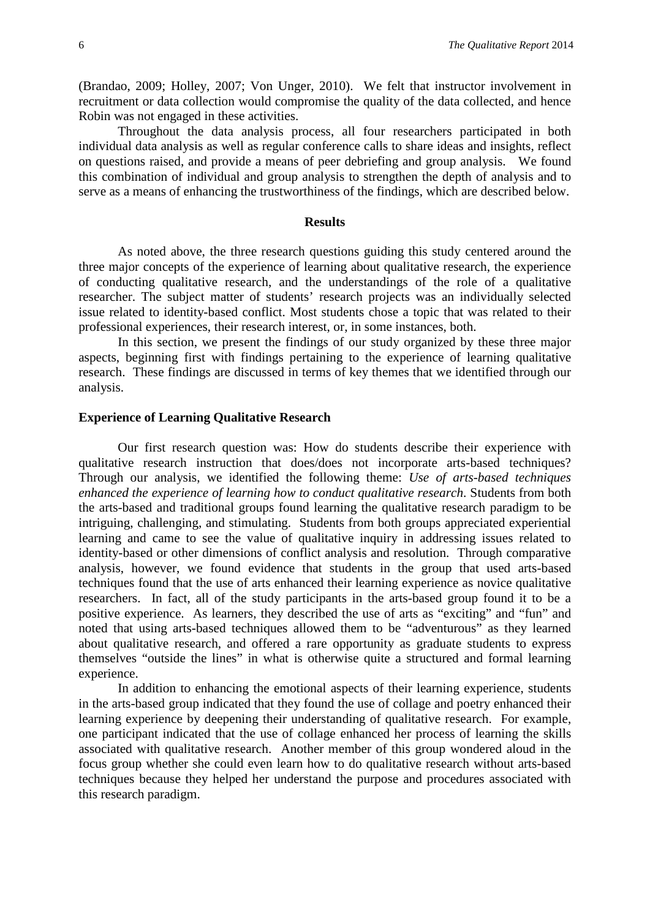(Brandao, 2009; Holley, 2007; Von Unger, 2010). We felt that instructor involvement in recruitment or data collection would compromise the quality of the data collected, and hence Robin was not engaged in these activities.

Throughout the data analysis process, all four researchers participated in both individual data analysis as well as regular conference calls to share ideas and insights, reflect on questions raised, and provide a means of peer debriefing and group analysis. We found this combination of individual and group analysis to strengthen the depth of analysis and to serve as a means of enhancing the trustworthiness of the findings, which are described below.

#### **Results**

As noted above, the three research questions guiding this study centered around the three major concepts of the experience of learning about qualitative research, the experience of conducting qualitative research, and the understandings of the role of a qualitative researcher. The subject matter of students' research projects was an individually selected issue related to identity-based conflict. Most students chose a topic that was related to their professional experiences, their research interest, or, in some instances, both.

In this section, we present the findings of our study organized by these three major aspects, beginning first with findings pertaining to the experience of learning qualitative research. These findings are discussed in terms of key themes that we identified through our analysis.

#### **Experience of Learning Qualitative Research**

Our first research question was: How do students describe their experience with qualitative research instruction that does/does not incorporate arts-based techniques? Through our analysis, we identified the following theme: *Use of arts-based techniques enhanced the experience of learning how to conduct qualitative research*. Students from both the arts-based and traditional groups found learning the qualitative research paradigm to be intriguing, challenging, and stimulating. Students from both groups appreciated experiential learning and came to see the value of qualitative inquiry in addressing issues related to identity-based or other dimensions of conflict analysis and resolution. Through comparative analysis, however, we found evidence that students in the group that used arts-based techniques found that the use of arts enhanced their learning experience as novice qualitative researchers. In fact, all of the study participants in the arts-based group found it to be a positive experience. As learners, they described the use of arts as "exciting" and "fun" and noted that using arts-based techniques allowed them to be "adventurous" as they learned about qualitative research, and offered a rare opportunity as graduate students to express themselves "outside the lines" in what is otherwise quite a structured and formal learning experience.

In addition to enhancing the emotional aspects of their learning experience, students in the arts-based group indicated that they found the use of collage and poetry enhanced their learning experience by deepening their understanding of qualitative research. For example, one participant indicated that the use of collage enhanced her process of learning the skills associated with qualitative research. Another member of this group wondered aloud in the focus group whether she could even learn how to do qualitative research without arts-based techniques because they helped her understand the purpose and procedures associated with this research paradigm.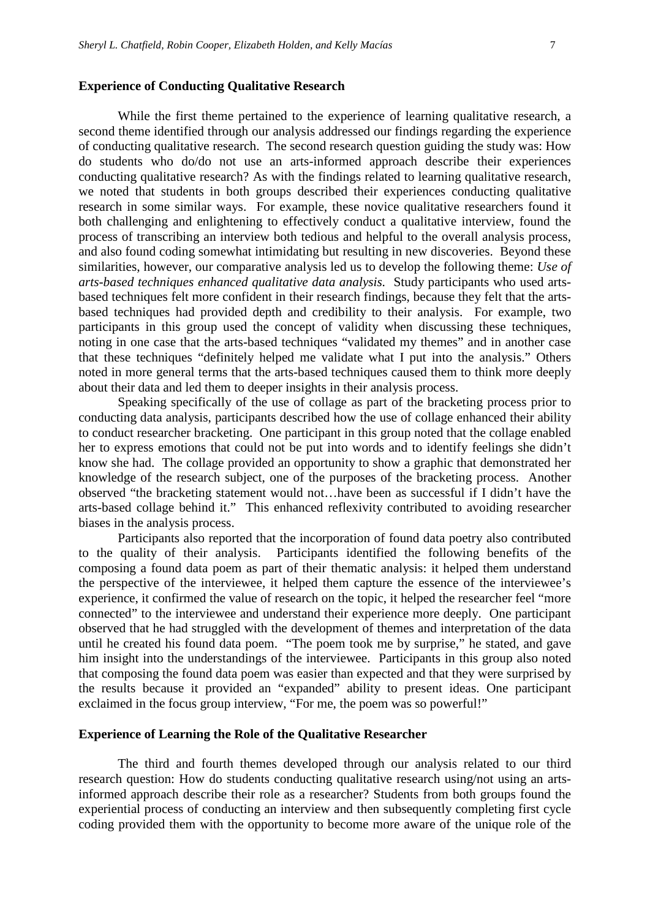#### **Experience of Conducting Qualitative Research**

While the first theme pertained to the experience of learning qualitative research, a second theme identified through our analysis addressed our findings regarding the experience of conducting qualitative research. The second research question guiding the study was: How do students who do/do not use an arts-informed approach describe their experiences conducting qualitative research? As with the findings related to learning qualitative research, we noted that students in both groups described their experiences conducting qualitative research in some similar ways. For example, these novice qualitative researchers found it both challenging and enlightening to effectively conduct a qualitative interview, found the process of transcribing an interview both tedious and helpful to the overall analysis process, and also found coding somewhat intimidating but resulting in new discoveries. Beyond these similarities, however, our comparative analysis led us to develop the following theme: *Use of arts-based techniques enhanced qualitative data analysis.* Study participants who used artsbased techniques felt more confident in their research findings, because they felt that the artsbased techniques had provided depth and credibility to their analysis. For example, two participants in this group used the concept of validity when discussing these techniques, noting in one case that the arts-based techniques "validated my themes" and in another case that these techniques "definitely helped me validate what I put into the analysis." Others noted in more general terms that the arts-based techniques caused them to think more deeply about their data and led them to deeper insights in their analysis process.

Speaking specifically of the use of collage as part of the bracketing process prior to conducting data analysis, participants described how the use of collage enhanced their ability to conduct researcher bracketing. One participant in this group noted that the collage enabled her to express emotions that could not be put into words and to identify feelings she didn't know she had. The collage provided an opportunity to show a graphic that demonstrated her knowledge of the research subject, one of the purposes of the bracketing process. Another observed "the bracketing statement would not…have been as successful if I didn't have the arts-based collage behind it." This enhanced reflexivity contributed to avoiding researcher biases in the analysis process.

Participants also reported that the incorporation of found data poetry also contributed to the quality of their analysis. Participants identified the following benefits of the composing a found data poem as part of their thematic analysis: it helped them understand the perspective of the interviewee, it helped them capture the essence of the interviewee's experience, it confirmed the value of research on the topic, it helped the researcher feel "more connected" to the interviewee and understand their experience more deeply. One participant observed that he had struggled with the development of themes and interpretation of the data until he created his found data poem. "The poem took me by surprise," he stated, and gave him insight into the understandings of the interviewee. Participants in this group also noted that composing the found data poem was easier than expected and that they were surprised by the results because it provided an "expanded" ability to present ideas. One participant exclaimed in the focus group interview, "For me, the poem was so powerful!"

#### **Experience of Learning the Role of the Qualitative Researcher**

The third and fourth themes developed through our analysis related to our third research question: How do students conducting qualitative research using/not using an artsinformed approach describe their role as a researcher? Students from both groups found the experiential process of conducting an interview and then subsequently completing first cycle coding provided them with the opportunity to become more aware of the unique role of the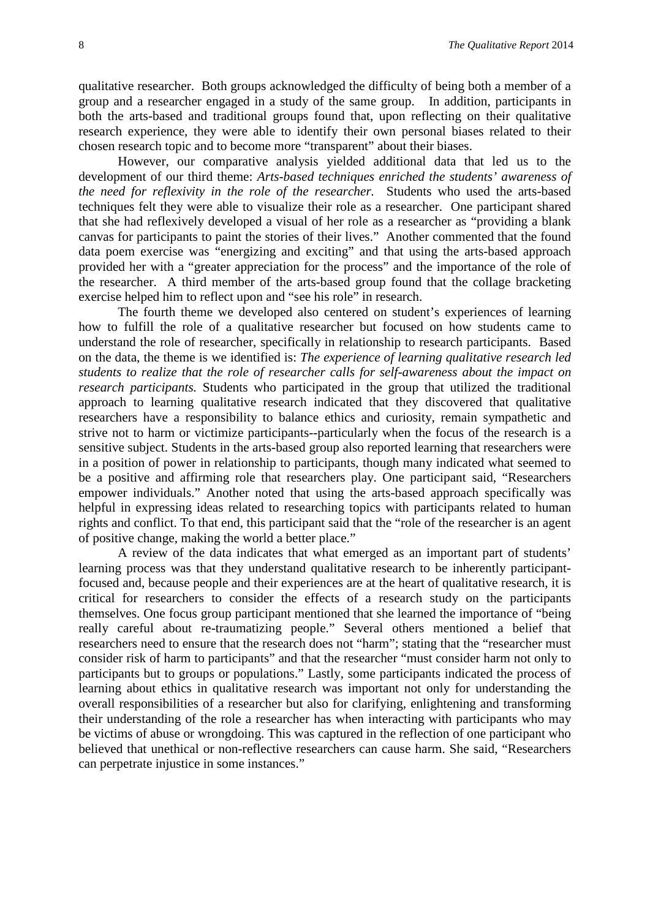qualitative researcher. Both groups acknowledged the difficulty of being both a member of a group and a researcher engaged in a study of the same group. In addition, participants in both the arts-based and traditional groups found that, upon reflecting on their qualitative research experience, they were able to identify their own personal biases related to their chosen research topic and to become more "transparent" about their biases.

However, our comparative analysis yielded additional data that led us to the development of our third theme: *Arts-based techniques enriched the students' awareness of the need for reflexivity in the role of the researcher.* Students who used the arts-based techniques felt they were able to visualize their role as a researcher. One participant shared that she had reflexively developed a visual of her role as a researcher as "providing a blank canvas for participants to paint the stories of their lives." Another commented that the found data poem exercise was "energizing and exciting" and that using the arts-based approach provided her with a "greater appreciation for the process" and the importance of the role of the researcher. A third member of the arts-based group found that the collage bracketing exercise helped him to reflect upon and "see his role" in research.

The fourth theme we developed also centered on student's experiences of learning how to fulfill the role of a qualitative researcher but focused on how students came to understand the role of researcher, specifically in relationship to research participants. Based on the data, the theme is we identified is: *The experience of learning qualitative research led students to realize that the role of researcher calls for self-awareness about the impact on research participants.* Students who participated in the group that utilized the traditional approach to learning qualitative research indicated that they discovered that qualitative researchers have a responsibility to balance ethics and curiosity, remain sympathetic and strive not to harm or victimize participants--particularly when the focus of the research is a sensitive subject. Students in the arts-based group also reported learning that researchers were in a position of power in relationship to participants, though many indicated what seemed to be a positive and affirming role that researchers play. One participant said, "Researchers empower individuals." Another noted that using the arts-based approach specifically was helpful in expressing ideas related to researching topics with participants related to human rights and conflict. To that end, this participant said that the "role of the researcher is an agent of positive change, making the world a better place."

A review of the data indicates that what emerged as an important part of students' learning process was that they understand qualitative research to be inherently participantfocused and, because people and their experiences are at the heart of qualitative research, it is critical for researchers to consider the effects of a research study on the participants themselves. One focus group participant mentioned that she learned the importance of "being really careful about re-traumatizing people." Several others mentioned a belief that researchers need to ensure that the research does not "harm"; stating that the "researcher must consider risk of harm to participants" and that the researcher "must consider harm not only to participants but to groups or populations." Lastly, some participants indicated the process of learning about ethics in qualitative research was important not only for understanding the overall responsibilities of a researcher but also for clarifying, enlightening and transforming their understanding of the role a researcher has when interacting with participants who may be victims of abuse or wrongdoing. This was captured in the reflection of one participant who believed that unethical or non-reflective researchers can cause harm. She said, "Researchers can perpetrate injustice in some instances."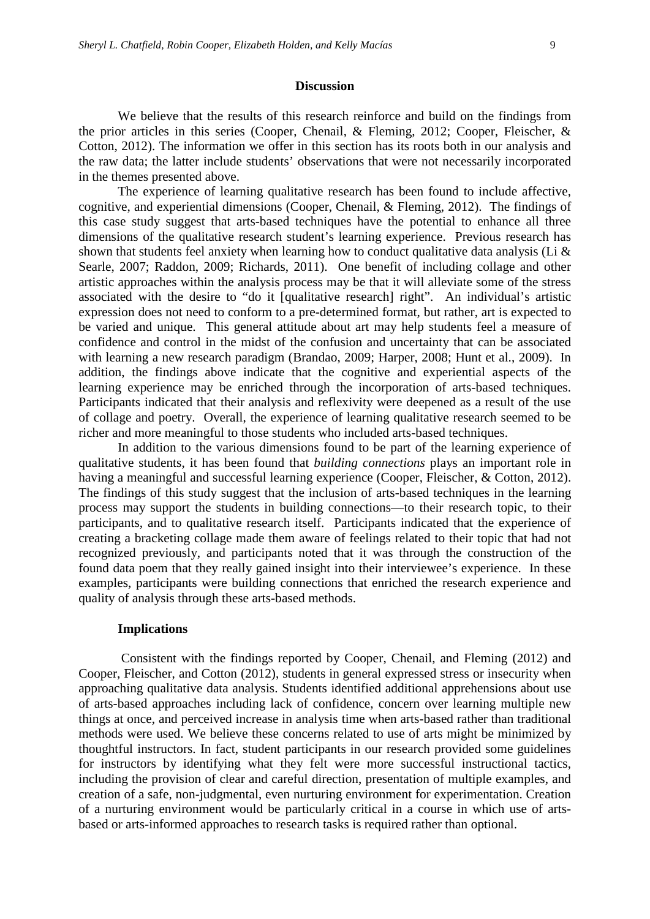#### **Discussion**

We believe that the results of this research reinforce and build on the findings from the prior articles in this series (Cooper, Chenail, & Fleming, 2012; Cooper, Fleischer, & Cotton, 2012). The information we offer in this section has its roots both in our analysis and the raw data; the latter include students' observations that were not necessarily incorporated in the themes presented above.

The experience of learning qualitative research has been found to include affective, cognitive, and experiential dimensions (Cooper, Chenail, & Fleming, 2012). The findings of this case study suggest that arts-based techniques have the potential to enhance all three dimensions of the qualitative research student's learning experience. Previous research has shown that students feel anxiety when learning how to conduct qualitative data analysis (Li & Searle, 2007; Raddon, 2009; Richards, 2011). One benefit of including collage and other artistic approaches within the analysis process may be that it will alleviate some of the stress associated with the desire to "do it [qualitative research] right". An individual's artistic expression does not need to conform to a pre-determined format, but rather, art is expected to be varied and unique. This general attitude about art may help students feel a measure of confidence and control in the midst of the confusion and uncertainty that can be associated with learning a new research paradigm (Brandao, 2009; Harper, 2008; Hunt et al., 2009). In addition, the findings above indicate that the cognitive and experiential aspects of the learning experience may be enriched through the incorporation of arts-based techniques. Participants indicated that their analysis and reflexivity were deepened as a result of the use of collage and poetry. Overall, the experience of learning qualitative research seemed to be richer and more meaningful to those students who included arts-based techniques.

In addition to the various dimensions found to be part of the learning experience of qualitative students, it has been found that *building connections* plays an important role in having a meaningful and successful learning experience (Cooper, Fleischer, & Cotton, 2012). The findings of this study suggest that the inclusion of arts-based techniques in the learning process may support the students in building connections—to their research topic, to their participants, and to qualitative research itself. Participants indicated that the experience of creating a bracketing collage made them aware of feelings related to their topic that had not recognized previously, and participants noted that it was through the construction of the found data poem that they really gained insight into their interviewee's experience. In these examples, participants were building connections that enriched the research experience and quality of analysis through these arts-based methods.

#### **Implications**

Consistent with the findings reported by Cooper, Chenail, and Fleming (2012) and Cooper, Fleischer, and Cotton (2012), students in general expressed stress or insecurity when approaching qualitative data analysis. Students identified additional apprehensions about use of arts-based approaches including lack of confidence, concern over learning multiple new things at once, and perceived increase in analysis time when arts-based rather than traditional methods were used. We believe these concerns related to use of arts might be minimized by thoughtful instructors. In fact, student participants in our research provided some guidelines for instructors by identifying what they felt were more successful instructional tactics, including the provision of clear and careful direction, presentation of multiple examples, and creation of a safe, non-judgmental, even nurturing environment for experimentation. Creation of a nurturing environment would be particularly critical in a course in which use of artsbased or arts-informed approaches to research tasks is required rather than optional.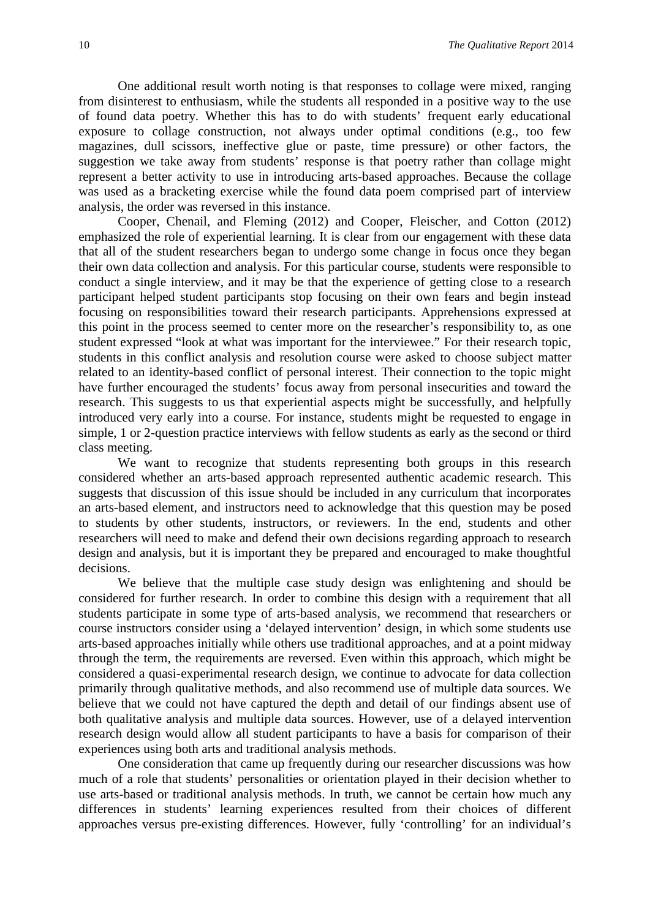One additional result worth noting is that responses to collage were mixed, ranging from disinterest to enthusiasm, while the students all responded in a positive way to the use of found data poetry. Whether this has to do with students' frequent early educational exposure to collage construction, not always under optimal conditions (e.g., too few magazines, dull scissors, ineffective glue or paste, time pressure) or other factors, the suggestion we take away from students' response is that poetry rather than collage might represent a better activity to use in introducing arts-based approaches. Because the collage was used as a bracketing exercise while the found data poem comprised part of interview analysis, the order was reversed in this instance.

Cooper, Chenail, and Fleming (2012) and Cooper, Fleischer, and Cotton (2012) emphasized the role of experiential learning. It is clear from our engagement with these data that all of the student researchers began to undergo some change in focus once they began their own data collection and analysis. For this particular course, students were responsible to conduct a single interview, and it may be that the experience of getting close to a research participant helped student participants stop focusing on their own fears and begin instead focusing on responsibilities toward their research participants. Apprehensions expressed at this point in the process seemed to center more on the researcher's responsibility to, as one student expressed "look at what was important for the interviewee." For their research topic, students in this conflict analysis and resolution course were asked to choose subject matter related to an identity-based conflict of personal interest. Their connection to the topic might have further encouraged the students' focus away from personal insecurities and toward the research. This suggests to us that experiential aspects might be successfully, and helpfully introduced very early into a course. For instance, students might be requested to engage in simple, 1 or 2-question practice interviews with fellow students as early as the second or third class meeting.

We want to recognize that students representing both groups in this research considered whether an arts-based approach represented authentic academic research. This suggests that discussion of this issue should be included in any curriculum that incorporates an arts-based element, and instructors need to acknowledge that this question may be posed to students by other students, instructors, or reviewers. In the end, students and other researchers will need to make and defend their own decisions regarding approach to research design and analysis, but it is important they be prepared and encouraged to make thoughtful decisions.

We believe that the multiple case study design was enlightening and should be considered for further research. In order to combine this design with a requirement that all students participate in some type of arts-based analysis, we recommend that researchers or course instructors consider using a 'delayed intervention' design, in which some students use arts-based approaches initially while others use traditional approaches, and at a point midway through the term, the requirements are reversed. Even within this approach, which might be considered a quasi-experimental research design, we continue to advocate for data collection primarily through qualitative methods, and also recommend use of multiple data sources. We believe that we could not have captured the depth and detail of our findings absent use of both qualitative analysis and multiple data sources. However, use of a delayed intervention research design would allow all student participants to have a basis for comparison of their experiences using both arts and traditional analysis methods.

One consideration that came up frequently during our researcher discussions was how much of a role that students' personalities or orientation played in their decision whether to use arts-based or traditional analysis methods. In truth, we cannot be certain how much any differences in students' learning experiences resulted from their choices of different approaches versus pre-existing differences. However, fully 'controlling' for an individual's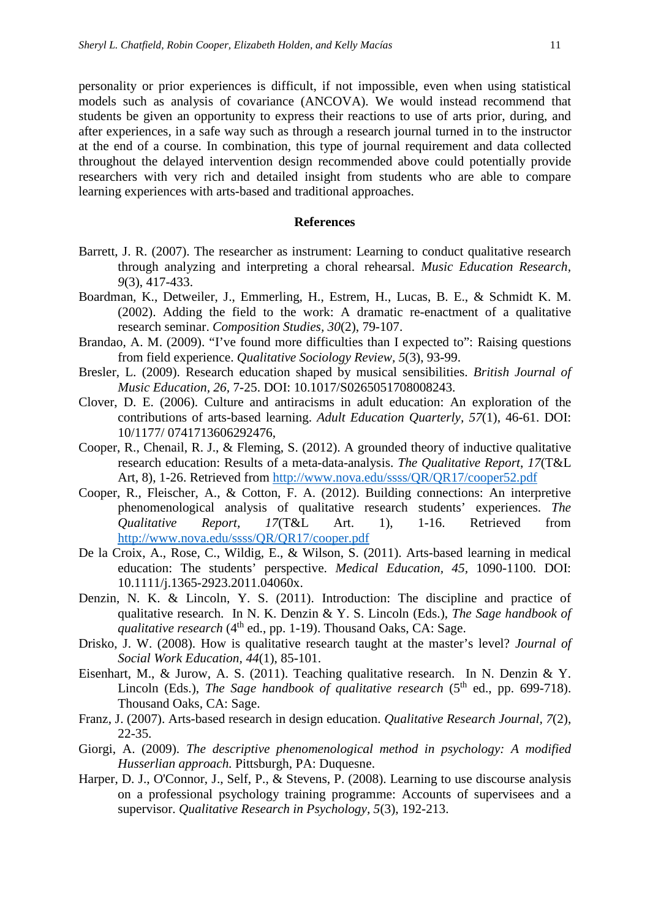personality or prior experiences is difficult, if not impossible, even when using statistical models such as analysis of covariance (ANCOVA). We would instead recommend that students be given an opportunity to express their reactions to use of arts prior, during, and after experiences, in a safe way such as through a research journal turned in to the instructor at the end of a course. In combination, this type of journal requirement and data collected throughout the delayed intervention design recommended above could potentially provide researchers with very rich and detailed insight from students who are able to compare learning experiences with arts-based and traditional approaches.

#### **References**

- Barrett, J. R. (2007). The researcher as instrument: Learning to conduct qualitative research through analyzing and interpreting a choral rehearsal. *Music Education Research, 9*(3), 417-433.
- Boardman, K., Detweiler, J., Emmerling, H., Estrem, H., Lucas, B. E., & Schmidt K. M. (2002). Adding the field to the work: A dramatic re-enactment of a qualitative research seminar. *Composition Studies, 30*(2), 79-107.
- Brandao, A. M. (2009). "I've found more difficulties than I expected to": Raising questions from field experience. *Qualitative Sociology Review, 5*(3), 93-99.
- Bresler, L. (2009). Research education shaped by musical sensibilities. *British Journal of Music Education, 26,* 7-25. DOI: 10.1017/S0265051708008243.
- Clover, D. E. (2006). Culture and antiracisms in adult education: An exploration of the contributions of arts-based learning. *Adult Education Quarterly, 57*(1), 46-61. DOI: 10/1177/ 0741713606292476,
- Cooper, R., Chenail, R. J., & Fleming, S. (2012). A grounded theory of inductive qualitative research education: Results of a meta-data-analysis. *The Qualitative Report*, *17*(T&L Art, 8), 1-26. Retrieved from<http://www.nova.edu/ssss/QR/QR17/cooper52.pdf>
- Cooper, R., Fleischer, A., & Cotton, F. A. (2012). Building connections: An interpretive phenomenological analysis of qualitative research students' experiences. *The Qualitative Report, 17*(T&L Art. 1), 1-16. Retrieved from <http://www.nova.edu/ssss/QR/QR17/cooper.pdf>
- De la Croix, A., Rose, C., Wildig, E., & Wilson, S. (2011). Arts-based learning in medical education: The students' perspective. *Medical Education, 45,* 1090-1100. DOI: 10.1111/j.1365-2923.2011.04060x.
- Denzin, N. K. & Lincoln, Y. S. (2011). Introduction: The discipline and practice of qualitative research. In N. K. Denzin & Y. S. Lincoln (Eds.), *The Sage handbook of qualitative research* (4<sup>th</sup> ed., pp. 1-19). Thousand Oaks, CA: Sage.
- Drisko, J. W. (2008). How is qualitative research taught at the master's level? *Journal of Social Work Education, 44*(1), 85-101.
- Eisenhart, M., & Jurow, A. S. (2011). Teaching qualitative research. In N. Denzin & Y. Lincoln (Eds.), *The Sage handbook of qualitative research* (5<sup>th</sup> ed., pp. 699-718). Thousand Oaks, CA: Sage.
- Franz, J. (2007). Arts-based research in design education. *Qualitative Research Journal, 7*(2), 22-35.
- Giorgi, A. (2009). *The descriptive phenomenological method in psychology: A modified Husserlian approach.* Pittsburgh, PA: Duquesne.
- Harper, D. J., O'Connor, J., Self, P., & Stevens, P. (2008). Learning to use discourse analysis on a professional psychology training programme: Accounts of supervisees and a supervisor. *Qualitative Research in Psychology, 5*(3), 192-213.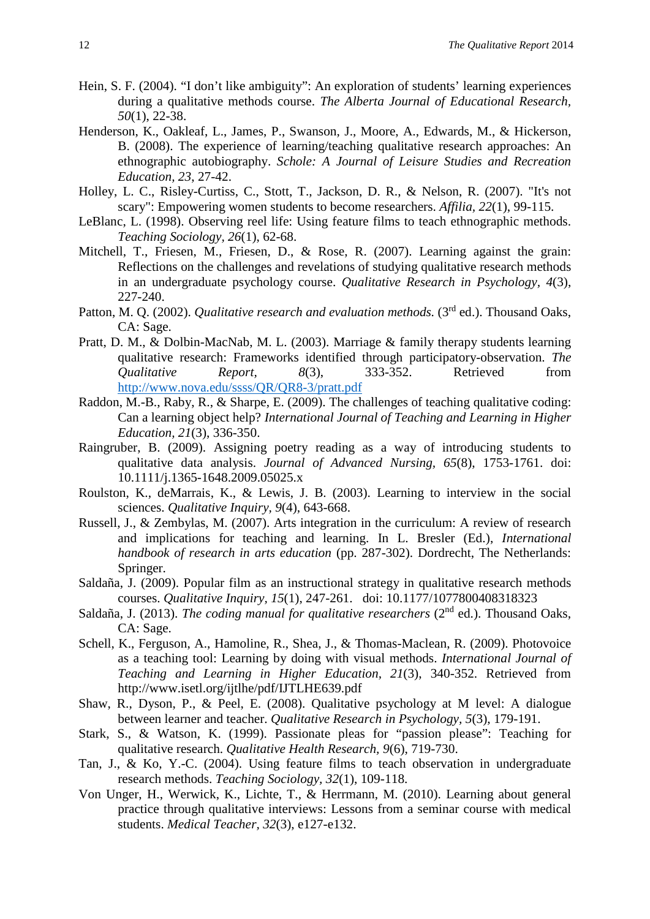- Hein, S. F. (2004). "I don't like ambiguity": An exploration of students' learning experiences during a qualitative methods course. *The Alberta Journal of Educational Research, 50*(1), 22-38.
- Henderson, K., Oakleaf, L., James, P., Swanson, J., Moore, A., Edwards, M., & Hickerson, B. (2008). The experience of learning/teaching qualitative research approaches: An ethnographic autobiography. *Schole: A Journal of Leisure Studies and Recreation Education, 23*, 27-42.
- Holley, L. C., Risley-Curtiss, C., Stott, T., Jackson, D. R., & Nelson, R. (2007). "It's not scary": Empowering women students to become researchers. *Affilia, 22*(1), 99-115.
- LeBlanc, L. (1998). Observing reel life: Using feature films to teach ethnographic methods. *Teaching Sociology, 26*(1), 62-68.
- Mitchell, T., Friesen, M., Friesen, D., & Rose, R. (2007). Learning against the grain: Reflections on the challenges and revelations of studying qualitative research methods in an undergraduate psychology course. *Qualitative Research in Psychology, 4*(3), 227-240.
- Patton, M. Q. (2002). *Qualitative research and evaluation methods.* (3<sup>rd</sup> ed.). Thousand Oaks, CA: Sage.
- Pratt, D. M., & Dolbin-MacNab, M. L. (2003). Marriage & family therapy students learning qualitative research: Frameworks identified through participatory-observation. *The Qualitative Report, 8*(3), 333-352. Retrieved from <http://www.nova.edu/ssss/QR/QR8-3/pratt.pdf>
- Raddon, M.-B., Raby, R., & Sharpe, E. (2009). The challenges of teaching qualitative coding: Can a learning object help? *International Journal of Teaching and Learning in Higher Education, 21*(3), 336-350.
- Raingruber, B. (2009). Assigning poetry reading as a way of introducing students to qualitative data analysis. *Journal of Advanced Nursing, 65*(8), 1753-1761. doi: 10.1111/j.1365-1648.2009.05025.x
- Roulston, K., deMarrais, K., & Lewis, J. B. (2003). Learning to interview in the social sciences. *Qualitative Inquiry, 9*(4), 643-668.
- Russell, J., & Zembylas, M. (2007). Arts integration in the curriculum: A review of research and implications for teaching and learning. In L. Bresler (Ed.), *International handbook of research in arts education* (pp. 287-302). Dordrecht, The Netherlands: Springer.
- Saldaña, J. (2009). Popular film as an instructional strategy in qualitative research methods courses. *Qualitative Inquiry, 15*(1), 247-261. doi: 10.1177/1077800408318323
- Saldaña, J. (2013). *The coding manual for qualitative researchers* (2nd ed.). Thousand Oaks, CA: Sage.
- Schell, K., Ferguson, A., Hamoline, R., Shea, J., & Thomas-Maclean, R. (2009). Photovoice as a teaching tool: Learning by doing with visual methods. *International Journal of Teaching and Learning in Higher Education, 21*(3), 340-352. Retrieved from http://www.isetl.org/ijtlhe/pdf/IJTLHE639.pdf
- Shaw, R., Dyson, P., & Peel, E. (2008). Qualitative psychology at M level: A dialogue between learner and teacher. *Qualitative Research in Psychology, 5*(3), 179-191.
- Stark, S., & Watson, K. (1999). Passionate pleas for "passion please": Teaching for qualitative research. *Qualitative Health Research, 9*(6), 719-730.
- Tan, J., & Ko, Y.-C. (2004). Using feature films to teach observation in undergraduate research methods. *Teaching Sociology, 32*(1), 109-118.
- Von Unger, H., Werwick, K., Lichte, T., & Herrmann, M. (2010). Learning about general practice through qualitative interviews: Lessons from a seminar course with medical students. *Medical Teacher, 32*(3), e127-e132.